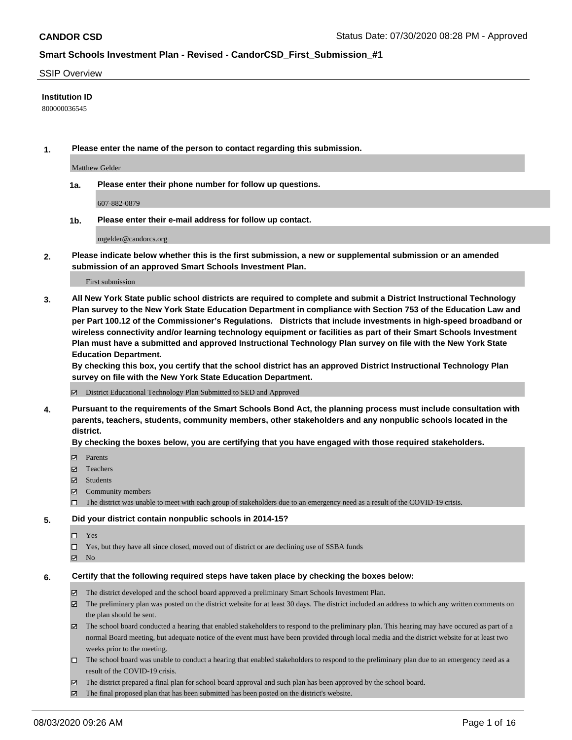#### SSIP Overview

#### **Institution ID**

800000036545

**1. Please enter the name of the person to contact regarding this submission.**

Matthew Gelder

**1a. Please enter their phone number for follow up questions.**

607-882-0879

**1b. Please enter their e-mail address for follow up contact.**

mgelder@candorcs.org

**2. Please indicate below whether this is the first submission, a new or supplemental submission or an amended submission of an approved Smart Schools Investment Plan.**

#### First submission

**3. All New York State public school districts are required to complete and submit a District Instructional Technology Plan survey to the New York State Education Department in compliance with Section 753 of the Education Law and per Part 100.12 of the Commissioner's Regulations. Districts that include investments in high-speed broadband or wireless connectivity and/or learning technology equipment or facilities as part of their Smart Schools Investment Plan must have a submitted and approved Instructional Technology Plan survey on file with the New York State Education Department.** 

**By checking this box, you certify that the school district has an approved District Instructional Technology Plan survey on file with the New York State Education Department.**

District Educational Technology Plan Submitted to SED and Approved

**4. Pursuant to the requirements of the Smart Schools Bond Act, the planning process must include consultation with parents, teachers, students, community members, other stakeholders and any nonpublic schools located in the district.** 

#### **By checking the boxes below, you are certifying that you have engaged with those required stakeholders.**

- **Parents**
- Teachers
- Students
- $\boxtimes$  Community members
- The district was unable to meet with each group of stakeholders due to an emergency need as a result of the COVID-19 crisis.

#### **5. Did your district contain nonpublic schools in 2014-15?**

- $\neg$  Yes
- Yes, but they have all since closed, moved out of district or are declining use of SSBA funds
- **Z** No

#### **6. Certify that the following required steps have taken place by checking the boxes below:**

- The district developed and the school board approved a preliminary Smart Schools Investment Plan.
- $\boxtimes$  The preliminary plan was posted on the district website for at least 30 days. The district included an address to which any written comments on the plan should be sent.
- The school board conducted a hearing that enabled stakeholders to respond to the preliminary plan. This hearing may have occured as part of a normal Board meeting, but adequate notice of the event must have been provided through local media and the district website for at least two weeks prior to the meeting.
- The school board was unable to conduct a hearing that enabled stakeholders to respond to the preliminary plan due to an emergency need as a result of the COVID-19 crisis.
- The district prepared a final plan for school board approval and such plan has been approved by the school board.
- $\boxtimes$  The final proposed plan that has been submitted has been posted on the district's website.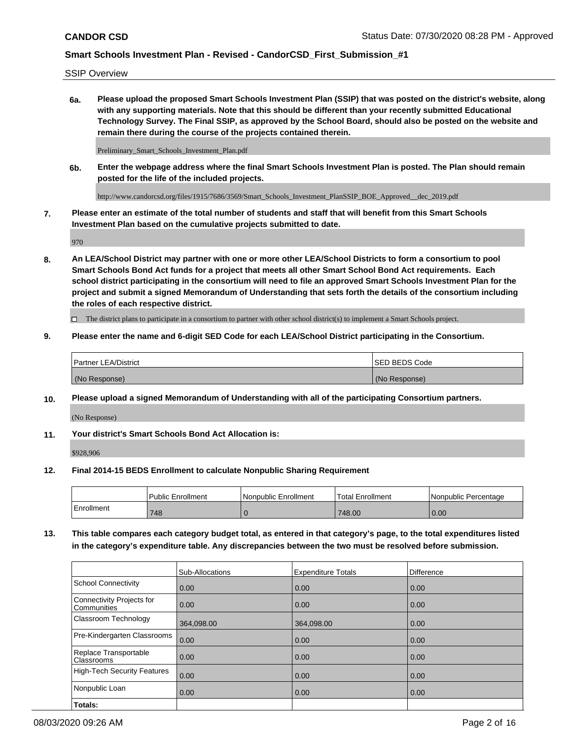SSIP Overview

**6a. Please upload the proposed Smart Schools Investment Plan (SSIP) that was posted on the district's website, along with any supporting materials. Note that this should be different than your recently submitted Educational Technology Survey. The Final SSIP, as approved by the School Board, should also be posted on the website and remain there during the course of the projects contained therein.**

Preliminary\_Smart\_Schools\_Investment\_Plan.pdf

**6b. Enter the webpage address where the final Smart Schools Investment Plan is posted. The Plan should remain posted for the life of the included projects.**

http://www.candorcsd.org/files/1915/7686/3569/Smart\_Schools\_Investment\_PlanSSIP\_BOE\_Approved\_\_dec\_2019.pdf

**7. Please enter an estimate of the total number of students and staff that will benefit from this Smart Schools Investment Plan based on the cumulative projects submitted to date.**

970

**8. An LEA/School District may partner with one or more other LEA/School Districts to form a consortium to pool Smart Schools Bond Act funds for a project that meets all other Smart School Bond Act requirements. Each school district participating in the consortium will need to file an approved Smart Schools Investment Plan for the project and submit a signed Memorandum of Understanding that sets forth the details of the consortium including the roles of each respective district.**

 $\Box$  The district plans to participate in a consortium to partner with other school district(s) to implement a Smart Schools project.

#### **9. Please enter the name and 6-digit SED Code for each LEA/School District participating in the Consortium.**

| <sup>1</sup> Partner LEA/District | ISED BEDS Code |
|-----------------------------------|----------------|
| (No Response)                     | (No Response)  |

#### **10. Please upload a signed Memorandum of Understanding with all of the participating Consortium partners.**

(No Response)

**11. Your district's Smart Schools Bond Act Allocation is:**

\$928,906

#### **12. Final 2014-15 BEDS Enrollment to calculate Nonpublic Sharing Requirement**

|            | Public Enrollment | Nonpublic Enrollment | Total Enrollment | INonpublic Percentage |
|------------|-------------------|----------------------|------------------|-----------------------|
| Enrollment | 748               |                      | 748.00           | 0.00                  |

**13. This table compares each category budget total, as entered in that category's page, to the total expenditures listed in the category's expenditure table. Any discrepancies between the two must be resolved before submission.**

|                                          | Sub-Allocations | <b>Expenditure Totals</b> | <b>Difference</b> |
|------------------------------------------|-----------------|---------------------------|-------------------|
| <b>School Connectivity</b>               | 0.00            | 0.00                      | 0.00              |
| Connectivity Projects for<br>Communities | 0.00            | 0.00                      | 0.00              |
| Classroom Technology                     | 364,098.00      | 364,098.00                | 0.00              |
| Pre-Kindergarten Classrooms              | 0.00            | 0.00                      | 0.00              |
| Replace Transportable<br>Classrooms      | 0.00            | 0.00                      | 0.00              |
| High-Tech Security Features              | 0.00            | 0.00                      | 0.00              |
| Nonpublic Loan                           | 0.00            | 0.00                      | 0.00              |
| Totals:                                  |                 |                           |                   |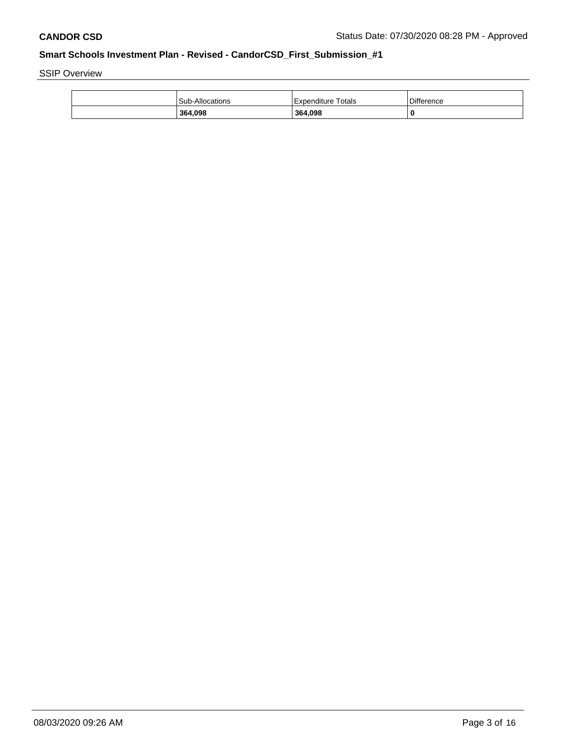SSIP Overview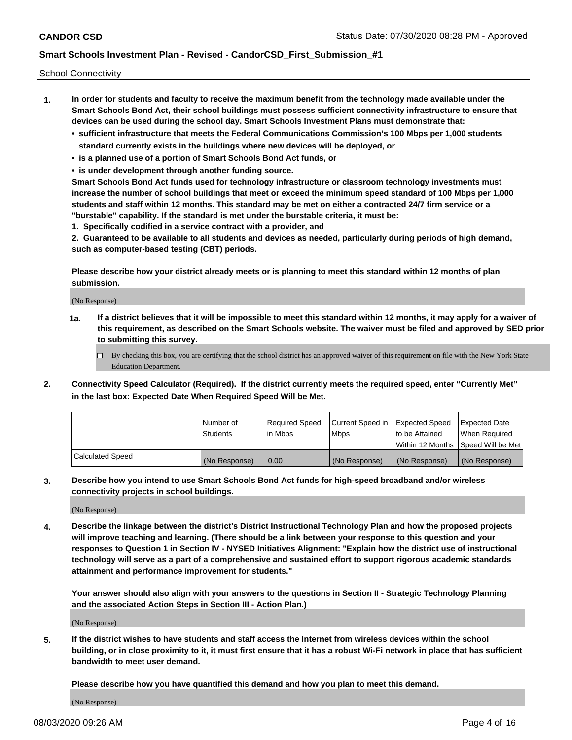School Connectivity

- **1. In order for students and faculty to receive the maximum benefit from the technology made available under the Smart Schools Bond Act, their school buildings must possess sufficient connectivity infrastructure to ensure that devices can be used during the school day. Smart Schools Investment Plans must demonstrate that:**
	- **• sufficient infrastructure that meets the Federal Communications Commission's 100 Mbps per 1,000 students standard currently exists in the buildings where new devices will be deployed, or**
	- **• is a planned use of a portion of Smart Schools Bond Act funds, or**
	- **• is under development through another funding source.**

**Smart Schools Bond Act funds used for technology infrastructure or classroom technology investments must increase the number of school buildings that meet or exceed the minimum speed standard of 100 Mbps per 1,000 students and staff within 12 months. This standard may be met on either a contracted 24/7 firm service or a "burstable" capability. If the standard is met under the burstable criteria, it must be:**

**1. Specifically codified in a service contract with a provider, and**

**2. Guaranteed to be available to all students and devices as needed, particularly during periods of high demand, such as computer-based testing (CBT) periods.**

**Please describe how your district already meets or is planning to meet this standard within 12 months of plan submission.**

(No Response)

**1a. If a district believes that it will be impossible to meet this standard within 12 months, it may apply for a waiver of this requirement, as described on the Smart Schools website. The waiver must be filed and approved by SED prior to submitting this survey.**

 $\Box$  By checking this box, you are certifying that the school district has an approved waiver of this requirement on file with the New York State Education Department.

**2. Connectivity Speed Calculator (Required). If the district currently meets the required speed, enter "Currently Met" in the last box: Expected Date When Required Speed Will be Met.**

|                  | l Number of     | Required Speed | Current Speed in | <b>Expected Speed</b> | <b>Expected Date</b>                |
|------------------|-----------------|----------------|------------------|-----------------------|-------------------------------------|
|                  | <b>Students</b> | l in Mbps      | <b>Mbps</b>      | to be Attained        | When Required                       |
|                  |                 |                |                  |                       | Within 12 Months ISpeed Will be Met |
| Calculated Speed | (No Response)   | 0.00           | (No Response)    | (No Response)         | (No Response)                       |

**3. Describe how you intend to use Smart Schools Bond Act funds for high-speed broadband and/or wireless connectivity projects in school buildings.**

(No Response)

**4. Describe the linkage between the district's District Instructional Technology Plan and how the proposed projects will improve teaching and learning. (There should be a link between your response to this question and your responses to Question 1 in Section IV - NYSED Initiatives Alignment: "Explain how the district use of instructional technology will serve as a part of a comprehensive and sustained effort to support rigorous academic standards attainment and performance improvement for students."** 

**Your answer should also align with your answers to the questions in Section II - Strategic Technology Planning and the associated Action Steps in Section III - Action Plan.)**

(No Response)

**5. If the district wishes to have students and staff access the Internet from wireless devices within the school building, or in close proximity to it, it must first ensure that it has a robust Wi-Fi network in place that has sufficient bandwidth to meet user demand.**

**Please describe how you have quantified this demand and how you plan to meet this demand.**

(No Response)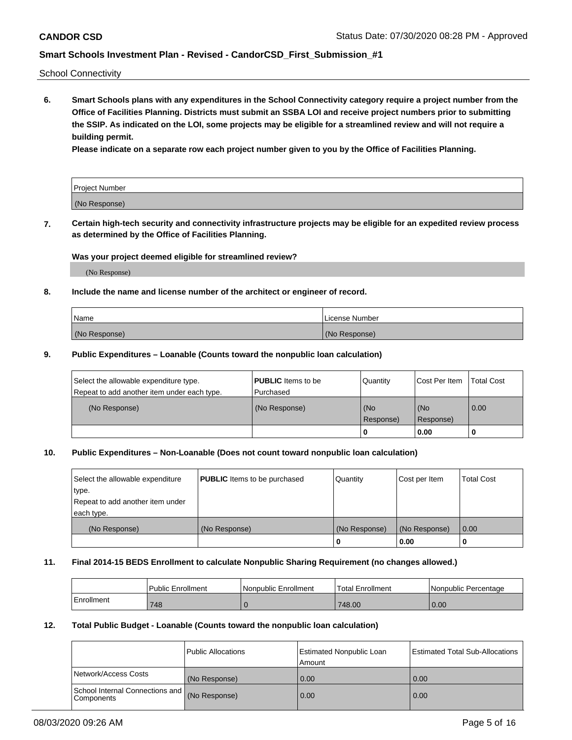School Connectivity

**6. Smart Schools plans with any expenditures in the School Connectivity category require a project number from the Office of Facilities Planning. Districts must submit an SSBA LOI and receive project numbers prior to submitting the SSIP. As indicated on the LOI, some projects may be eligible for a streamlined review and will not require a building permit.**

**Please indicate on a separate row each project number given to you by the Office of Facilities Planning.**

| Project Number |  |
|----------------|--|
| (No Response)  |  |

**7. Certain high-tech security and connectivity infrastructure projects may be eligible for an expedited review process as determined by the Office of Facilities Planning.**

### **Was your project deemed eligible for streamlined review?**

(No Response)

### **8. Include the name and license number of the architect or engineer of record.**

| Name          | License Number |
|---------------|----------------|
| (No Response) | (No Response)  |

### **9. Public Expenditures – Loanable (Counts toward the nonpublic loan calculation)**

| Select the allowable expenditure type.<br>Repeat to add another item under each type. | <b>PUBLIC</b> Items to be<br>l Purchased | Quantity           | Cost Per Item    | <b>Total Cost</b> |
|---------------------------------------------------------------------------------------|------------------------------------------|--------------------|------------------|-------------------|
| (No Response)                                                                         | (No Response)                            | l (No<br>Response) | (No<br>Response) | 0.00              |
|                                                                                       |                                          | U                  | 0.00             |                   |

### **10. Public Expenditures – Non-Loanable (Does not count toward nonpublic loan calculation)**

| Select the allowable expenditure<br>type.<br>Repeat to add another item under<br>each type. | <b>PUBLIC</b> Items to be purchased | Quantity      | Cost per Item | <b>Total Cost</b> |
|---------------------------------------------------------------------------------------------|-------------------------------------|---------------|---------------|-------------------|
| (No Response)                                                                               | (No Response)                       | (No Response) | (No Response) | 0.00              |
|                                                                                             |                                     |               | 0.00          |                   |

### **11. Final 2014-15 BEDS Enrollment to calculate Nonpublic Sharing Requirement (no changes allowed.)**

|            | Public Enrollment | l Nonpublic Enrollment | <b>Total Enrollment</b> | Nonpublic Percentage |
|------------|-------------------|------------------------|-------------------------|----------------------|
| Enrollment | 748               |                        | 748.00                  | 0.00                 |

### **12. Total Public Budget - Loanable (Counts toward the nonpublic loan calculation)**

|                                                      | Public Allocations | <b>Estimated Nonpublic Loan</b><br>Amount | Estimated Total Sub-Allocations |
|------------------------------------------------------|--------------------|-------------------------------------------|---------------------------------|
| Network/Access Costs                                 | (No Response)      | 0.00                                      | 0.00                            |
| School Internal Connections and<br><b>Components</b> | (No Response)      | 0.00                                      | 0.00                            |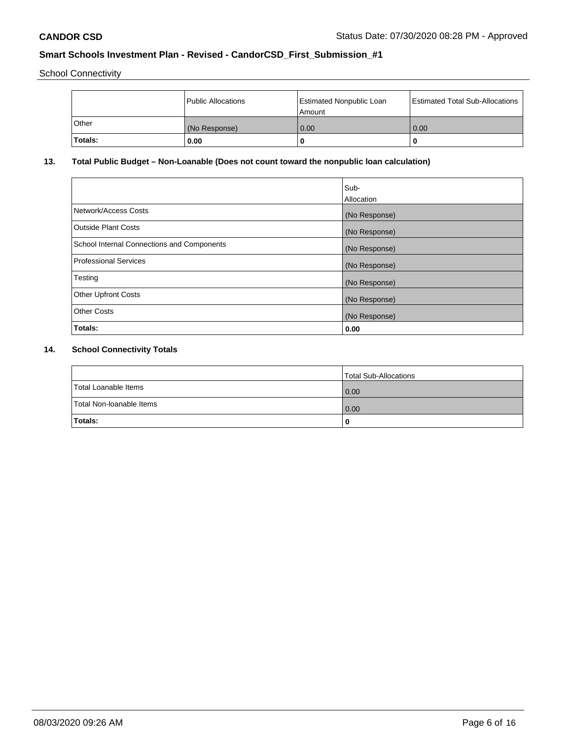School Connectivity

|         | Public Allocations | <b>Estimated Nonpublic Loan</b><br>l Amount | <b>Estimated Total Sub-Allocations</b> |
|---------|--------------------|---------------------------------------------|----------------------------------------|
| l Other | (No Response)      | 0.00                                        | 0.00                                   |
| Totals: | 0.00               | 0                                           |                                        |

# **13. Total Public Budget – Non-Loanable (Does not count toward the nonpublic loan calculation)**

| Sub-<br>Allocation |
|--------------------|
| (No Response)      |
| (No Response)      |
| (No Response)      |
| (No Response)      |
| (No Response)      |
| (No Response)      |
| (No Response)      |
| 0.00               |
|                    |

# **14. School Connectivity Totals**

|                          | Total Sub-Allocations |
|--------------------------|-----------------------|
| Total Loanable Items     | 0.00                  |
| Total Non-Ioanable Items | 0.00                  |
| Totals:                  | 0                     |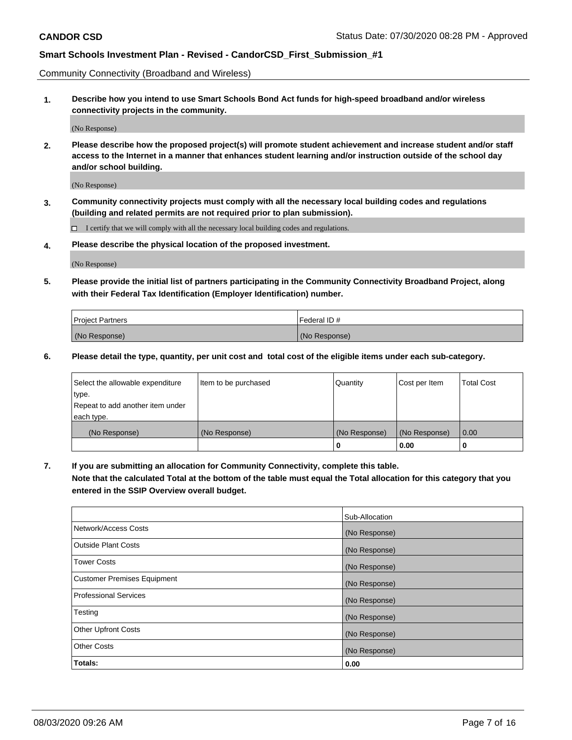Community Connectivity (Broadband and Wireless)

**1. Describe how you intend to use Smart Schools Bond Act funds for high-speed broadband and/or wireless connectivity projects in the community.**

(No Response)

**2. Please describe how the proposed project(s) will promote student achievement and increase student and/or staff access to the Internet in a manner that enhances student learning and/or instruction outside of the school day and/or school building.**

(No Response)

**3. Community connectivity projects must comply with all the necessary local building codes and regulations (building and related permits are not required prior to plan submission).**

 $\Box$  I certify that we will comply with all the necessary local building codes and regulations.

**4. Please describe the physical location of the proposed investment.**

(No Response)

**5. Please provide the initial list of partners participating in the Community Connectivity Broadband Project, along with their Federal Tax Identification (Employer Identification) number.**

| <b>Project Partners</b> | l Federal ID # |
|-------------------------|----------------|
| (No Response)           | (No Response)  |

**6. Please detail the type, quantity, per unit cost and total cost of the eligible items under each sub-category.**

| Select the allowable expenditure | Item to be purchased | Quantity      | Cost per Item | <b>Total Cost</b> |
|----------------------------------|----------------------|---------------|---------------|-------------------|
| type.                            |                      |               |               |                   |
| Repeat to add another item under |                      |               |               |                   |
| each type.                       |                      |               |               |                   |
| (No Response)                    | (No Response)        | (No Response) | (No Response) | 0.00              |
|                                  |                      | o             | 0.00          |                   |

**7. If you are submitting an allocation for Community Connectivity, complete this table.**

**Note that the calculated Total at the bottom of the table must equal the Total allocation for this category that you entered in the SSIP Overview overall budget.**

|                                    | Sub-Allocation |
|------------------------------------|----------------|
| Network/Access Costs               | (No Response)  |
| Outside Plant Costs                | (No Response)  |
| <b>Tower Costs</b>                 | (No Response)  |
| <b>Customer Premises Equipment</b> | (No Response)  |
| <b>Professional Services</b>       | (No Response)  |
| Testing                            | (No Response)  |
| <b>Other Upfront Costs</b>         | (No Response)  |
| <b>Other Costs</b>                 | (No Response)  |
| Totals:                            | 0.00           |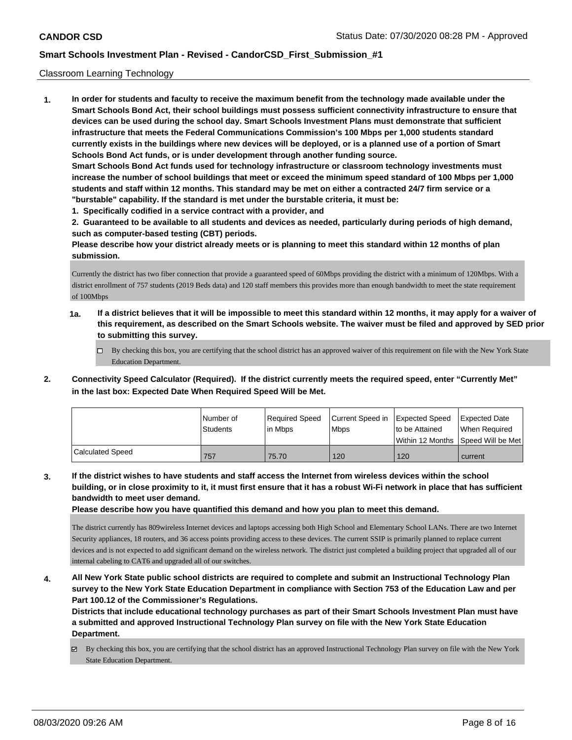### Classroom Learning Technology

**1. In order for students and faculty to receive the maximum benefit from the technology made available under the Smart Schools Bond Act, their school buildings must possess sufficient connectivity infrastructure to ensure that devices can be used during the school day. Smart Schools Investment Plans must demonstrate that sufficient infrastructure that meets the Federal Communications Commission's 100 Mbps per 1,000 students standard currently exists in the buildings where new devices will be deployed, or is a planned use of a portion of Smart Schools Bond Act funds, or is under development through another funding source. Smart Schools Bond Act funds used for technology infrastructure or classroom technology investments must increase the number of school buildings that meet or exceed the minimum speed standard of 100 Mbps per 1,000 students and staff within 12 months. This standard may be met on either a contracted 24/7 firm service or a "burstable" capability. If the standard is met under the burstable criteria, it must be:**

**1. Specifically codified in a service contract with a provider, and**

**2. Guaranteed to be available to all students and devices as needed, particularly during periods of high demand, such as computer-based testing (CBT) periods.**

**Please describe how your district already meets or is planning to meet this standard within 12 months of plan submission.**

Currently the district has two fiber connection that provide a guaranteed speed of 60Mbps providing the district with a minimum of 120Mbps. With a district enrollment of 757 students (2019 Beds data) and 120 staff members this provides more than enough bandwidth to meet the state requirement of 100Mbps

- **1a. If a district believes that it will be impossible to meet this standard within 12 months, it may apply for a waiver of this requirement, as described on the Smart Schools website. The waiver must be filed and approved by SED prior to submitting this survey.**
	- By checking this box, you are certifying that the school district has an approved waiver of this requirement on file with the New York State Education Department.
- **2. Connectivity Speed Calculator (Required). If the district currently meets the required speed, enter "Currently Met" in the last box: Expected Date When Required Speed Will be Met.**

|                  | l Number of | Required Speed | Current Speed in | <b>Expected Speed</b> | Expected Date                           |
|------------------|-------------|----------------|------------------|-----------------------|-----------------------------------------|
|                  | Students    | lin Mbps       | <b>Mbps</b>      | to be Attained        | When Reauired                           |
|                  |             |                |                  |                       | l Within 12 Months ISpeed Will be Met l |
| Calculated Speed | 757         | 75.70          | 120              | 120                   | current                                 |

**3. If the district wishes to have students and staff access the Internet from wireless devices within the school building, or in close proximity to it, it must first ensure that it has a robust Wi-Fi network in place that has sufficient bandwidth to meet user demand.**

**Please describe how you have quantified this demand and how you plan to meet this demand.**

The district currently has 809wireless Internet devices and laptops accessing both High School and Elementary School LANs. There are two Internet Security appliances, 18 routers, and 36 access points providing access to these devices. The current SSIP is primarily planned to replace current devices and is not expected to add significant demand on the wireless network. The district just completed a building project that upgraded all of our internal cabeling to CAT6 and upgraded all of our switches.

**4. All New York State public school districts are required to complete and submit an Instructional Technology Plan survey to the New York State Education Department in compliance with Section 753 of the Education Law and per Part 100.12 of the Commissioner's Regulations.**

**Districts that include educational technology purchases as part of their Smart Schools Investment Plan must have a submitted and approved Instructional Technology Plan survey on file with the New York State Education Department.**

 $\boxtimes$  By checking this box, you are certifying that the school district has an approved Instructional Technology Plan survey on file with the New York State Education Department.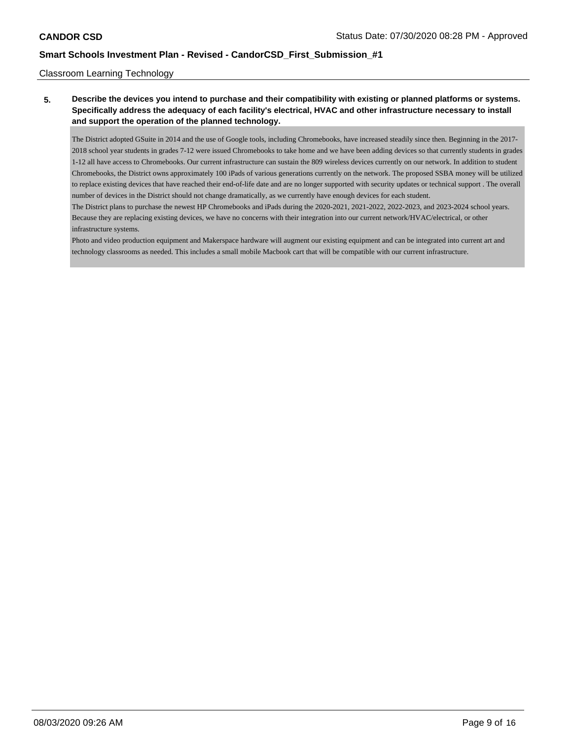### Classroom Learning Technology

### **5. Describe the devices you intend to purchase and their compatibility with existing or planned platforms or systems. Specifically address the adequacy of each facility's electrical, HVAC and other infrastructure necessary to install and support the operation of the planned technology.**

The District adopted GSuite in 2014 and the use of Google tools, including Chromebooks, have increased steadily since then. Beginning in the 2017- 2018 school year students in grades 7-12 were issued Chromebooks to take home and we have been adding devices so that currently students in grades 1-12 all have access to Chromebooks. Our current infrastructure can sustain the 809 wireless devices currently on our network. In addition to student Chromebooks, the District owns approximately 100 iPads of various generations currently on the network. The proposed SSBA money will be utilized to replace existing devices that have reached their end-of-life date and are no longer supported with security updates or technical support . The overall number of devices in the District should not change dramatically, as we currently have enough devices for each student.

The District plans to purchase the newest HP Chromebooks and iPads during the 2020-2021, 2021-2022, 2022-2023, and 2023-2024 school years. Because they are replacing existing devices, we have no concerns with their integration into our current network/HVAC/electrical, or other infrastructure systems.

Photo and video production equipment and Makerspace hardware will augment our existing equipment and can be integrated into current art and technology classrooms as needed. This includes a small mobile Macbook cart that will be compatible with our current infrastructure.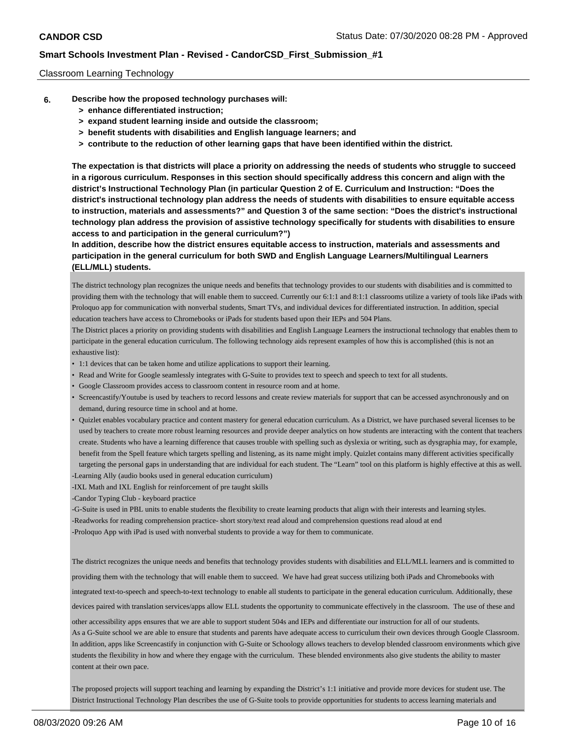### Classroom Learning Technology

- **6. Describe how the proposed technology purchases will:**
	- **> enhance differentiated instruction;**
	- **> expand student learning inside and outside the classroom;**
	- **> benefit students with disabilities and English language learners; and**
	- **> contribute to the reduction of other learning gaps that have been identified within the district.**

**The expectation is that districts will place a priority on addressing the needs of students who struggle to succeed in a rigorous curriculum. Responses in this section should specifically address this concern and align with the district's Instructional Technology Plan (in particular Question 2 of E. Curriculum and Instruction: "Does the district's instructional technology plan address the needs of students with disabilities to ensure equitable access to instruction, materials and assessments?" and Question 3 of the same section: "Does the district's instructional technology plan address the provision of assistive technology specifically for students with disabilities to ensure access to and participation in the general curriculum?")**

**In addition, describe how the district ensures equitable access to instruction, materials and assessments and participation in the general curriculum for both SWD and English Language Learners/Multilingual Learners (ELL/MLL) students.**

The district technology plan recognizes the unique needs and benefits that technology provides to our students with disabilities and is committed to providing them with the technology that will enable them to succeed. Currently our 6:1:1 and 8:1:1 classrooms utilize a variety of tools like iPads with Proloquo app for communication with nonverbal students, Smart TVs, and individual devices for differentiated instruction. In addition, special education teachers have access to Chromebooks or iPads for students based upon their IEPs and 504 Plans.

The District places a priority on providing students with disabilities and English Language Learners the instructional technology that enables them to participate in the general education curriculum. The following technology aids represent examples of how this is accomplished (this is not an exhaustive list):

- 1:1 devices that can be taken home and utilize applications to support their learning.
- Read and Write for Google seamlessly integrates with G-Suite to provides text to speech and speech to text for all students.
- Google Classroom provides access to classroom content in resource room and at home.
- Screencastify/Youtube is used by teachers to record lessons and create review materials for support that can be accessed asynchronously and on demand, during resource time in school and at home.
- Quizlet enables vocabulary practice and content mastery for general education curriculum. As a District, we have purchased several licenses to be used by teachers to create more robust learning resources and provide deeper analytics on how students are interacting with the content that teachers create. Students who have a learning difference that causes trouble with spelling such as dyslexia or writing, such as dysgraphia may, for example, benefit from the Spell feature which targets spelling and listening, as its name might imply. Quizlet contains many different activities specifically targeting the personal gaps in understanding that are individual for each student. The "Learn" tool on this platform is highly effective at this as well.

-Learning Ally (audio books used in general education curriculum)

-IXL Math and IXL English for reinforcement of pre taught skills

-Candor Typing Club - keyboard practice

-G-Suite is used in PBL units to enable students the flexibility to create learning products that align with their interests and learning styles. -Readworks for reading comprehension practice- short story/text read aloud and comprehension questions read aloud at end -Proloquo App with iPad is used with nonverbal students to provide a way for them to communicate.

The district recognizes the unique needs and benefits that technology provides students with disabilities and ELL/MLL learners and is committed to providing them with the technology that will enable them to succeed. We have had great success utilizing both iPads and Chromebooks with integrated text-to-speech and speech-to-text technology to enable all students to participate in the general education curriculum. Additionally, these devices paired with translation services/apps allow ELL students the opportunity to communicate effectively in the classroom. The use of these and

other accessibility apps ensures that we are able to support student 504s and IEPs and differentiate our instruction for all of our students. As a G-Suite school we are able to ensure that students and parents have adequate access to curriculum their own devices through Google Classroom. In addition, apps like Screencastify in conjunction with G-Suite or Schoology allows teachers to develop blended classroom environments which give students the flexibility in how and where they engage with the curriculum. These blended environments also give students the ability to master content at their own pace.

The proposed projects will support teaching and learning by expanding the District's 1:1 initiative and provide more devices for student use. The District Instructional Technology Plan describes the use of G-Suite tools to provide opportunities for students to access learning materials and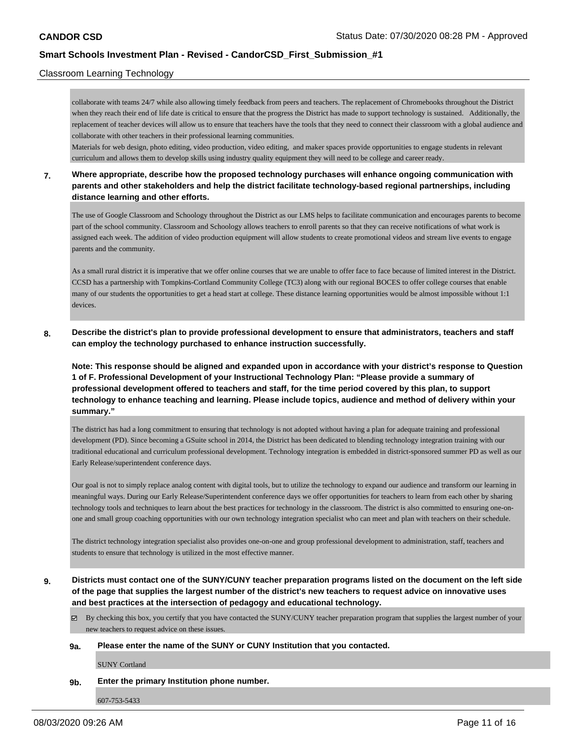### Classroom Learning Technology

collaborate with teams 24/7 while also allowing timely feedback from peers and teachers. The replacement of Chromebooks throughout the District when they reach their end of life date is critical to ensure that the progress the District has made to support technology is sustained. Additionally, the replacement of teacher devices will allow us to ensure that teachers have the tools that they need to connect their classroom with a global audience and collaborate with other teachers in their professional learning communities.

Materials for web design, photo editing, video production, video editing, and maker spaces provide opportunities to engage students in relevant curriculum and allows them to develop skills using industry quality equipment they will need to be college and career ready.

### **7. Where appropriate, describe how the proposed technology purchases will enhance ongoing communication with parents and other stakeholders and help the district facilitate technology-based regional partnerships, including distance learning and other efforts.**

The use of Google Classroom and Schoology throughout the District as our LMS helps to facilitate communication and encourages parents to become part of the school community. Classroom and Schoology allows teachers to enroll parents so that they can receive notifications of what work is assigned each week. The addition of video production equipment will allow students to create promotional videos and stream live events to engage parents and the community.

As a small rural district it is imperative that we offer online courses that we are unable to offer face to face because of limited interest in the District. CCSD has a partnership with Tompkins-Cortland Community College (TC3) along with our regional BOCES to offer college courses that enable many of our students the opportunities to get a head start at college. These distance learning opportunities would be almost impossible without 1:1 devices.

**8. Describe the district's plan to provide professional development to ensure that administrators, teachers and staff can employ the technology purchased to enhance instruction successfully.**

**Note: This response should be aligned and expanded upon in accordance with your district's response to Question 1 of F. Professional Development of your Instructional Technology Plan: "Please provide a summary of professional development offered to teachers and staff, for the time period covered by this plan, to support technology to enhance teaching and learning. Please include topics, audience and method of delivery within your summary."**

The district has had a long commitment to ensuring that technology is not adopted without having a plan for adequate training and professional development (PD). Since becoming a GSuite school in 2014, the District has been dedicated to blending technology integration training with our traditional educational and curriculum professional development. Technology integration is embedded in district-sponsored summer PD as well as our Early Release/superintendent conference days.

Our goal is not to simply replace analog content with digital tools, but to utilize the technology to expand our audience and transform our learning in meaningful ways. During our Early Release/Superintendent conference days we offer opportunities for teachers to learn from each other by sharing technology tools and techniques to learn about the best practices for technology in the classroom. The district is also committed to ensuring one-onone and small group coaching opportunities with our own technology integration specialist who can meet and plan with teachers on their schedule.

The district technology integration specialist also provides one-on-one and group professional development to administration, staff, teachers and students to ensure that technology is utilized in the most effective manner.

**9. Districts must contact one of the SUNY/CUNY teacher preparation programs listed on the document on the left side of the page that supplies the largest number of the district's new teachers to request advice on innovative uses and best practices at the intersection of pedagogy and educational technology.**

By checking this box, you certify that you have contacted the SUNY/CUNY teacher preparation program that supplies the largest number of your new teachers to request advice on these issues.

### **9a. Please enter the name of the SUNY or CUNY Institution that you contacted.**

SUNY Cortland

**9b. Enter the primary Institution phone number.**

607-753-5433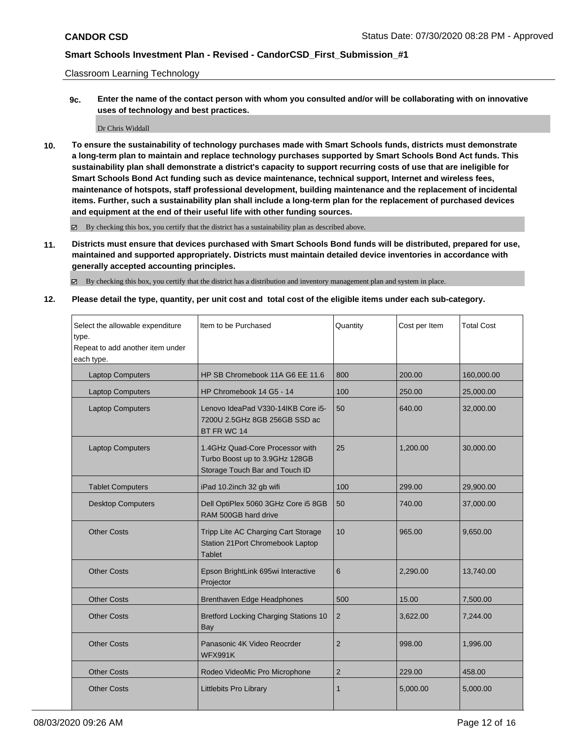Classroom Learning Technology

**9c. Enter the name of the contact person with whom you consulted and/or will be collaborating with on innovative uses of technology and best practices.**

Dr Chris Widdall

**10. To ensure the sustainability of technology purchases made with Smart Schools funds, districts must demonstrate a long-term plan to maintain and replace technology purchases supported by Smart Schools Bond Act funds. This sustainability plan shall demonstrate a district's capacity to support recurring costs of use that are ineligible for Smart Schools Bond Act funding such as device maintenance, technical support, Internet and wireless fees, maintenance of hotspots, staff professional development, building maintenance and the replacement of incidental items. Further, such a sustainability plan shall include a long-term plan for the replacement of purchased devices and equipment at the end of their useful life with other funding sources.**

By checking this box, you certify that the district has a sustainability plan as described above.

**11. Districts must ensure that devices purchased with Smart Schools Bond funds will be distributed, prepared for use, maintained and supported appropriately. Districts must maintain detailed device inventories in accordance with generally accepted accounting principles.**

By checking this box, you certify that the district has a distribution and inventory management plan and system in place.

**12. Please detail the type, quantity, per unit cost and total cost of the eligible items under each sub-category.**

| Select the allowable expenditure<br>type.<br>Repeat to add another item under<br>each type. | Item to be Purchased                                                                                | Quantity       | Cost per Item | <b>Total Cost</b> |
|---------------------------------------------------------------------------------------------|-----------------------------------------------------------------------------------------------------|----------------|---------------|-------------------|
| <b>Laptop Computers</b>                                                                     | HP SB Chromebook 11A G6 EE 11.6                                                                     | 800            | 200.00        | 160,000.00        |
| <b>Laptop Computers</b>                                                                     | HP Chromebook 14 G5 - 14                                                                            | 100            | 250.00        | 25,000.00         |
| <b>Laptop Computers</b>                                                                     | Lenovo IdeaPad V330-14IKB Core i5-<br>7200U 2.5GHz 8GB 256GB SSD ac<br>BT FR WC 14                  | 50             | 640.00        | 32,000.00         |
| <b>Laptop Computers</b>                                                                     | 1.4GHz Quad-Core Processor with<br>Turbo Boost up to 3.9GHz 128GB<br>Storage Touch Bar and Touch ID | 25             | 1,200.00      | 30,000.00         |
| <b>Tablet Computers</b>                                                                     | iPad 10.2inch 32 gb wifi                                                                            | 100            | 299.00        | 29,900.00         |
| <b>Desktop Computers</b>                                                                    | Dell OptiPlex 5060 3GHz Core i5 8GB<br>RAM 500GB hard drive                                         | 50             | 740.00        | 37,000.00         |
| <b>Other Costs</b>                                                                          | Tripp Lite AC Charging Cart Storage<br>Station 21 Port Chromebook Laptop<br><b>Tablet</b>           | 10             | 965.00        | 9,650.00          |
| <b>Other Costs</b>                                                                          | Epson BrightLink 695wi Interactive<br>Projector                                                     | 6              | 2,290.00      | 13,740.00         |
| <b>Other Costs</b>                                                                          | Brenthaven Edge Headphones                                                                          | 500            | 15.00         | 7,500.00          |
| <b>Other Costs</b>                                                                          | <b>Bretford Locking Charging Stations 10</b><br><b>Bay</b>                                          | $\overline{2}$ | 3,622.00      | 7,244.00          |
| <b>Other Costs</b>                                                                          | Panasonic 4K Video Reocrder<br><b>WFX991K</b>                                                       | $\overline{2}$ | 998.00        | 1,996.00          |
| <b>Other Costs</b>                                                                          | Rodeo VideoMic Pro Microphone                                                                       | $\overline{2}$ | 229.00        | 458.00            |
| <b>Other Costs</b>                                                                          | <b>Littlebits Pro Library</b>                                                                       | 1              | 5,000.00      | 5,000.00          |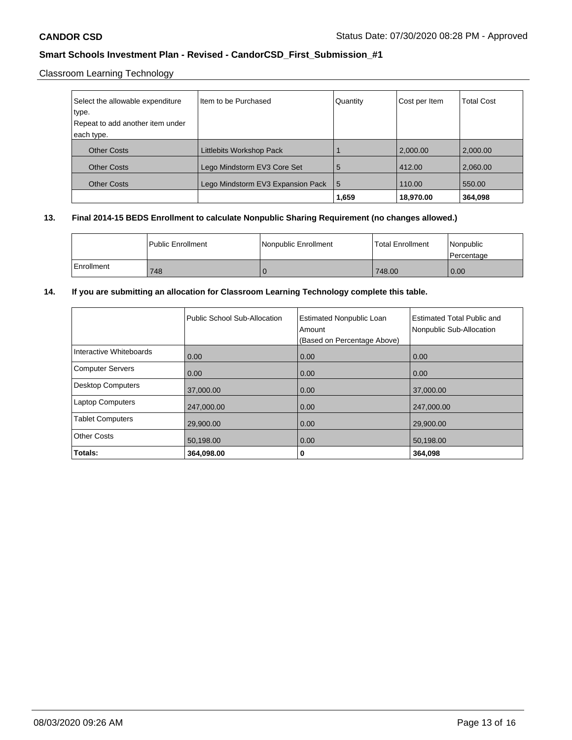Classroom Learning Technology

| Select the allowable expenditure | I Item to be Purchased            | Quantity | Cost per Item | <b>Total Cost</b> |
|----------------------------------|-----------------------------------|----------|---------------|-------------------|
| type.                            |                                   |          |               |                   |
| Repeat to add another item under |                                   |          |               |                   |
| each type.                       |                                   |          |               |                   |
| <b>Other Costs</b>               | Littlebits Workshop Pack          |          | 2,000.00      | 2,000.00          |
| <b>Other Costs</b>               | Lego Mindstorm EV3 Core Set       | 5        | 412.00        | 2,060.00          |
| <b>Other Costs</b>               | Lego Mindstorm EV3 Expansion Pack | l 5      | 110.00        | 550.00            |
|                                  |                                   | 1,659    | 18,970.00     | 364,098           |

### **13. Final 2014-15 BEDS Enrollment to calculate Nonpublic Sharing Requirement (no changes allowed.)**

|            | l Public Enrollment | l Nonpublic Enrollment | <b>Total Enrollment</b> | Nonpublic<br>l Percentage |
|------------|---------------------|------------------------|-------------------------|---------------------------|
| Enrollment | 748                 |                        | 748.00                  | 0.00                      |

### **14. If you are submitting an allocation for Classroom Learning Technology complete this table.**

|                          | Public School Sub-Allocation | <b>Estimated Nonpublic Loan</b><br>Amount<br>(Based on Percentage Above) | <b>Estimated Total Public and</b><br>Nonpublic Sub-Allocation |
|--------------------------|------------------------------|--------------------------------------------------------------------------|---------------------------------------------------------------|
| Interactive Whiteboards  | 0.00                         | 0.00                                                                     | 0.00                                                          |
| <b>Computer Servers</b>  | 0.00                         | 0.00                                                                     | 0.00                                                          |
| <b>Desktop Computers</b> | 37,000.00                    | 0.00                                                                     | 37,000.00                                                     |
| <b>Laptop Computers</b>  | 247,000.00                   | 0.00                                                                     | 247,000.00                                                    |
| <b>Tablet Computers</b>  | 29,900.00                    | 0.00                                                                     | 29,900.00                                                     |
| <b>Other Costs</b>       | 50,198.00                    | 0.00                                                                     | 50,198.00                                                     |
| Totals:                  | 364,098.00                   | 0                                                                        | 364,098                                                       |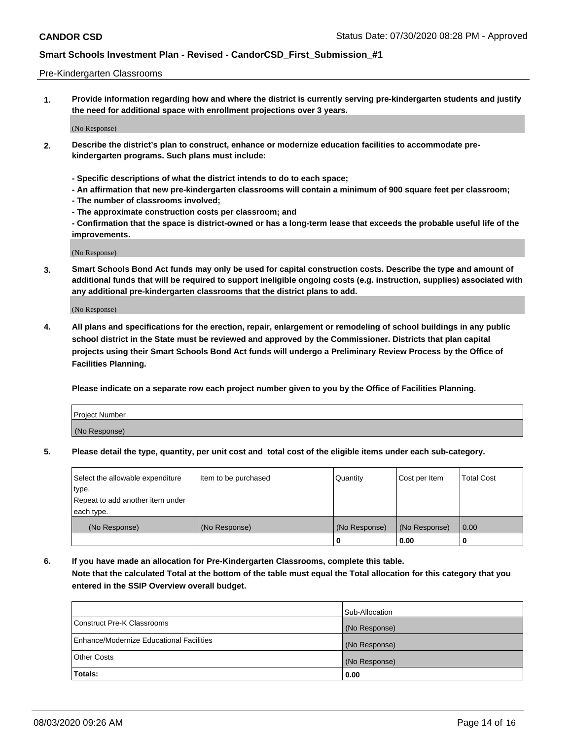### Pre-Kindergarten Classrooms

**1. Provide information regarding how and where the district is currently serving pre-kindergarten students and justify the need for additional space with enrollment projections over 3 years.**

(No Response)

- **2. Describe the district's plan to construct, enhance or modernize education facilities to accommodate prekindergarten programs. Such plans must include:**
	- **Specific descriptions of what the district intends to do to each space;**
	- **An affirmation that new pre-kindergarten classrooms will contain a minimum of 900 square feet per classroom;**
	- **The number of classrooms involved;**
	- **The approximate construction costs per classroom; and**
	- **Confirmation that the space is district-owned or has a long-term lease that exceeds the probable useful life of the improvements.**

(No Response)

**3. Smart Schools Bond Act funds may only be used for capital construction costs. Describe the type and amount of additional funds that will be required to support ineligible ongoing costs (e.g. instruction, supplies) associated with any additional pre-kindergarten classrooms that the district plans to add.**

(No Response)

**4. All plans and specifications for the erection, repair, enlargement or remodeling of school buildings in any public school district in the State must be reviewed and approved by the Commissioner. Districts that plan capital projects using their Smart Schools Bond Act funds will undergo a Preliminary Review Process by the Office of Facilities Planning.**

**Please indicate on a separate row each project number given to you by the Office of Facilities Planning.**

| Project Number |  |
|----------------|--|
| (No Response)  |  |
|                |  |

**5. Please detail the type, quantity, per unit cost and total cost of the eligible items under each sub-category.**

| Select the allowable expenditure | Item to be purchased | Quantity      | Cost per Item | <b>Total Cost</b> |
|----------------------------------|----------------------|---------------|---------------|-------------------|
| type.                            |                      |               |               |                   |
| Repeat to add another item under |                      |               |               |                   |
| each type.                       |                      |               |               |                   |
| (No Response)                    | (No Response)        | (No Response) | (No Response) | 0.00              |
|                                  |                      | υ             | 0.00          |                   |

**6. If you have made an allocation for Pre-Kindergarten Classrooms, complete this table. Note that the calculated Total at the bottom of the table must equal the Total allocation for this category that you entered in the SSIP Overview overall budget.**

|                                          | Sub-Allocation |
|------------------------------------------|----------------|
| Construct Pre-K Classrooms               | (No Response)  |
| Enhance/Modernize Educational Facilities | (No Response)  |
| <b>Other Costs</b>                       | (No Response)  |
| Totals:                                  | 0.00           |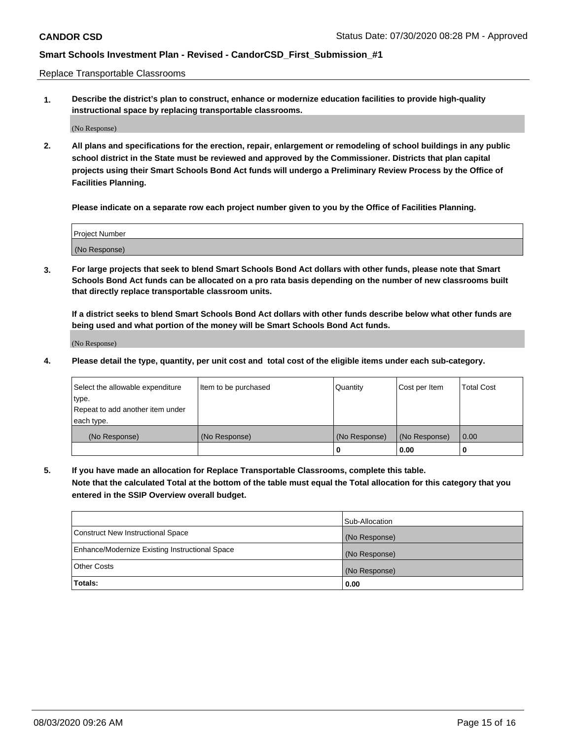Replace Transportable Classrooms

**1. Describe the district's plan to construct, enhance or modernize education facilities to provide high-quality instructional space by replacing transportable classrooms.**

(No Response)

**2. All plans and specifications for the erection, repair, enlargement or remodeling of school buildings in any public school district in the State must be reviewed and approved by the Commissioner. Districts that plan capital projects using their Smart Schools Bond Act funds will undergo a Preliminary Review Process by the Office of Facilities Planning.**

**Please indicate on a separate row each project number given to you by the Office of Facilities Planning.**

| Project Number |  |
|----------------|--|
|                |  |
|                |  |
|                |  |
| (No Response)  |  |
|                |  |
|                |  |

**3. For large projects that seek to blend Smart Schools Bond Act dollars with other funds, please note that Smart Schools Bond Act funds can be allocated on a pro rata basis depending on the number of new classrooms built that directly replace transportable classroom units.**

**If a district seeks to blend Smart Schools Bond Act dollars with other funds describe below what other funds are being used and what portion of the money will be Smart Schools Bond Act funds.**

(No Response)

**4. Please detail the type, quantity, per unit cost and total cost of the eligible items under each sub-category.**

| Select the allowable expenditure | Item to be purchased | Quantity      | Cost per Item | Total Cost |
|----------------------------------|----------------------|---------------|---------------|------------|
| ∣type.                           |                      |               |               |            |
| Repeat to add another item under |                      |               |               |            |
| each type.                       |                      |               |               |            |
| (No Response)                    | (No Response)        | (No Response) | (No Response) | 0.00       |
|                                  |                      | u             | 0.00          |            |

**5. If you have made an allocation for Replace Transportable Classrooms, complete this table. Note that the calculated Total at the bottom of the table must equal the Total allocation for this category that you entered in the SSIP Overview overall budget.**

|                                                | Sub-Allocation |
|------------------------------------------------|----------------|
| Construct New Instructional Space              | (No Response)  |
| Enhance/Modernize Existing Instructional Space | (No Response)  |
| Other Costs                                    | (No Response)  |
| Totals:                                        | 0.00           |